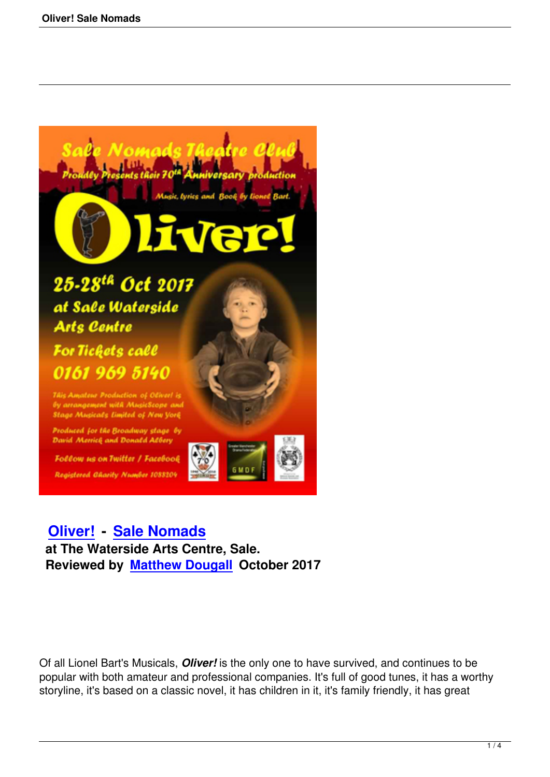

This Amateur Production of Oliver! is by arrangement with MusicScope and Stage Musicals Limited of New York

Produced for the Broadway stage by **David Merrich and Donald Albery** 

**Follow us on Twitter / Facebook** Registered Gharity Number 1088209



 **Oliver! - Sale Nomads at The Waterside Arts Centre, Sale. [Reviewe](oliver-sale-nomads.html)d [by Matthew Dou](http://www.salenomads.org.uk/)gall October 2017**

Of all Lionel Bart's Musicals, *Oliver!* is the only one to have survived, and continues to be popular with both amateur and professional companies. It's full of good tunes, it has a worthy storyline, it's based on a classic novel, it has children in it, it's family friendly, it has great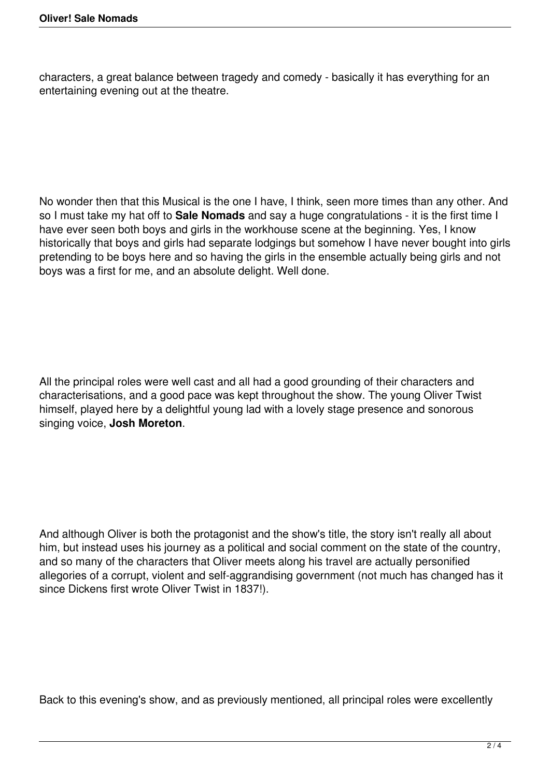characters, a great balance between tragedy and comedy - basically it has everything for an entertaining evening out at the theatre.

No wonder then that this Musical is the one I have, I think, seen more times than any other. And so I must take my hat off to **Sale Nomads** and say a huge congratulations - it is the first time I have ever seen both boys and girls in the workhouse scene at the beginning. Yes, I know historically that boys and girls had separate lodgings but somehow I have never bought into girls pretending to be boys here and so having the girls in the ensemble actually being girls and not boys was a first for me, and an absolute delight. Well done.

All the principal roles were well cast and all had a good grounding of their characters and characterisations, and a good pace was kept throughout the show. The young Oliver Twist himself, played here by a delightful young lad with a lovely stage presence and sonorous singing voice, **Josh Moreton**.

And although Oliver is both the protagonist and the show's title, the story isn't really all about him, but instead uses his journey as a political and social comment on the state of the country, and so many of the characters that Oliver meets along his travel are actually personified allegories of a corrupt, violent and self-aggrandising government (not much has changed has it since Dickens first wrote Oliver Twist in 1837!).

Back to this evening's show, and as previously mentioned, all principal roles were excellently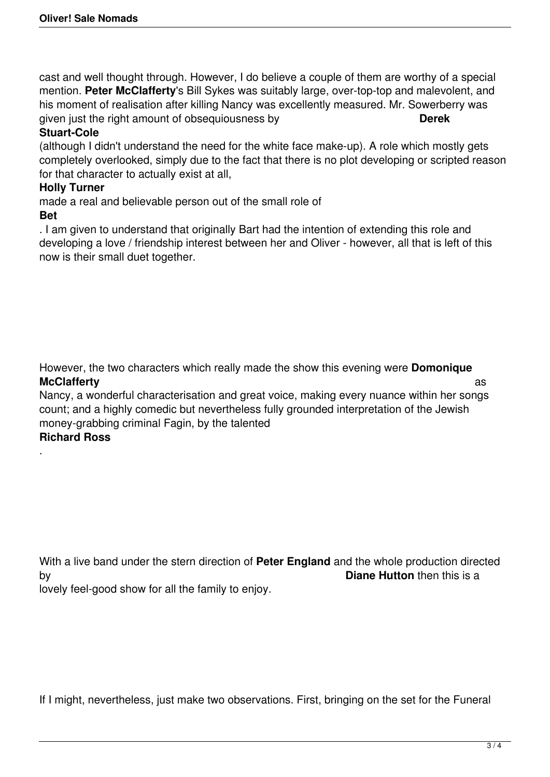cast and well thought through. However, I do believe a couple of them are worthy of a special mention. **Peter McClafferty**'s Bill Sykes was suitably large, over-top-top and malevolent, and his moment of realisation after killing Nancy was excellently measured. Mr. Sowerberry was given just the right amount of obsequiousness by **Derek**

## **Stuart-Cole**

(although I didn't understand the need for the white face make-up). A role which mostly gets completely overlooked, simply due to the fact that there is no plot developing or scripted reason for that character to actually exist at all,

## **Holly Turner**

made a real and believable person out of the small role of

## **Bet**

. I am given to understand that originally Bart had the intention of extending this role and developing a love / friendship interest between her and Oliver - however, all that is left of this now is their small duet together.

However, the two characters which really made the show this evening were **Domonique McClafferty** as a set of the set of the set of the set of the set of the set of the set of the set of the set of the set of the set of the set of the set of the set of the set of the set of the set of the set of the set o

Nancy, a wonderful characterisation and great voice, making every nuance within her songs count; and a highly comedic but nevertheless fully grounded interpretation of the Jewish money-grabbing criminal Fagin, by the talented

## **Richard Ross**

.

With a live band under the stern direction of **Peter England** and the whole production directed by **Diane Hutton** then this is a

lovely feel-good show for all the family to enjoy.

If I might, nevertheless, just make two observations. First, bringing on the set for the Funeral